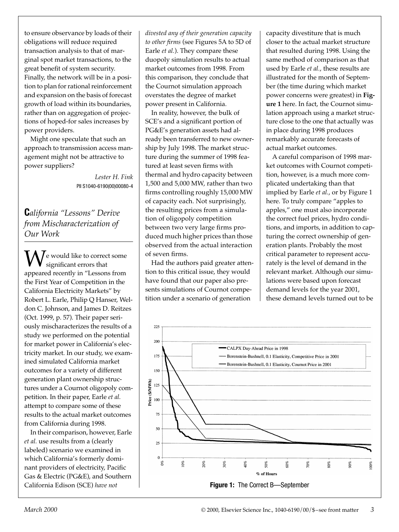to ensure observance by loads of their obligations will reduce required transaction analysis to that of marginal spot market transactions, to the great benefit of system security. Finally, the network will be in a position to plan for rational reinforcement and expansion on the basis of forecast growth of load within its boundaries, rather than on aggregation of projections of hoped-for sales increases by power providers.

Might one speculate that such an approach to transmission access management might not be attractive to power suppliers?

> *Lester H. Fink* PII S1040-6190(00)00080-4

**C***alifornia "Lessons" Derive from Mischaracterization of Our Work*

 $\overline{I}$ e would like to correct some significant errors that **W**e would like to correct some<br>appeared recently in "Lessons from the First Year of Competition in the California Electricity Markets" by Robert L. Earle, Philip Q Hanser, Weldon C. Johnson, and James D. Reitzes (Oct. 1999, p. 57). Their paper seriously mischaracterizes the results of a study we performed on the potential for market power in California's electricity market. In our study, we examined simulated California market outcomes for a variety of different generation plant ownership structures under a Cournot oligopoly competition. In their paper, Earle *et al.* attempt to compare some of these results to the actual market outcomes from California during 1998.

In their comparison, however, Earle *et al.* use results from a (clearly labeled) scenario we examined in which California's formerly dominant providers of electricity, Pacific Gas & Electric (PG&E), and Southern California Edison (SCE) *have not* 

*divested any of their generation capacity to other firms* (see Figures 5A to 5D of Earle *et al.*). They compare these duopoly simulation results to actual market outcomes from 1998. From this comparison, they conclude that the Cournot simulation approach overstates the degree of market power present in California.

In reality, however, the bulk of SCE's and a significant portion of PG&E's generation assets had already been transferred to new ownership by July 1998. The market structure during the summer of 1998 featured at least seven firms with thermal and hydro capacity between 1,500 and 5,000 MW, rather than two firms controlling roughly 15,000 MW of capacity each. Not surprisingly, the resulting prices from a simulation of oligopoly competition between two very large firms produced much higher prices than those observed from the actual interaction of seven firms.

Had the authors paid greater attention to this critical issue, they would have found that our paper also presents simulations of Cournot competition under a scenario of generation

capacity divestiture that is much closer to the actual market structure that resulted during 1998. Using the same method of comparison as that used by Earle *et al.*, these results are illustrated for the month of September (the time during which market power concerns were greatest) in **Figure 1** here. In fact, the Cournot simulation approach using a market structure close to the one that actually was in place during 1998 produces remarkably accurate forecasts of actual market outcomes.

A careful comparison of 1998 market outcomes with Cournot competition, however, is a much more complicated undertaking than that implied by Earle *et al.*, or by Figure 1 here. To truly compare "apples to apples," one must also incorporate the correct fuel prices, hydro conditions, and imports, in addition to capturing the correct ownership of generation plants. Probably the most critical parameter to represent accurately is the level of demand in the relevant market. Although our simulations were based upon forecast demand levels for the year 2001, these demand levels turned out to be